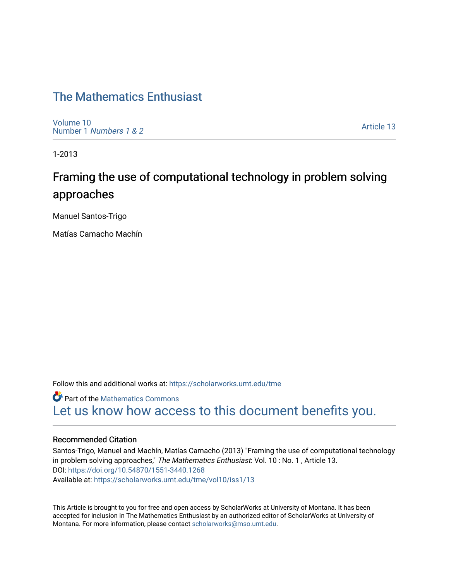# [The Mathematics Enthusiast](https://scholarworks.umt.edu/tme)

[Volume 10](https://scholarworks.umt.edu/tme/vol10) Number 1 [Numbers 1 & 2](https://scholarworks.umt.edu/tme/vol10/iss1)

[Article 13](https://scholarworks.umt.edu/tme/vol10/iss1/13) 

1-2013

# Framing the use of computational technology in problem solving approaches

Manuel Santos-Trigo

Matías Camacho Machín

Follow this and additional works at: [https://scholarworks.umt.edu/tme](https://scholarworks.umt.edu/tme?utm_source=scholarworks.umt.edu%2Ftme%2Fvol10%2Fiss1%2F13&utm_medium=PDF&utm_campaign=PDFCoverPages) 

**Part of the [Mathematics Commons](http://network.bepress.com/hgg/discipline/174?utm_source=scholarworks.umt.edu%2Ftme%2Fvol10%2Fiss1%2F13&utm_medium=PDF&utm_campaign=PDFCoverPages)** [Let us know how access to this document benefits you.](https://goo.gl/forms/s2rGfXOLzz71qgsB2) 

#### Recommended Citation

Santos-Trigo, Manuel and Machín, Matías Camacho (2013) "Framing the use of computational technology in problem solving approaches," The Mathematics Enthusiast: Vol. 10 : No. 1, Article 13. DOI:<https://doi.org/10.54870/1551-3440.1268> Available at: [https://scholarworks.umt.edu/tme/vol10/iss1/13](https://scholarworks.umt.edu/tme/vol10/iss1/13?utm_source=scholarworks.umt.edu%2Ftme%2Fvol10%2Fiss1%2F13&utm_medium=PDF&utm_campaign=PDFCoverPages)

This Article is brought to you for free and open access by ScholarWorks at University of Montana. It has been accepted for inclusion in The Mathematics Enthusiast by an authorized editor of ScholarWorks at University of Montana. For more information, please contact [scholarworks@mso.umt.edu.](mailto:scholarworks@mso.umt.edu)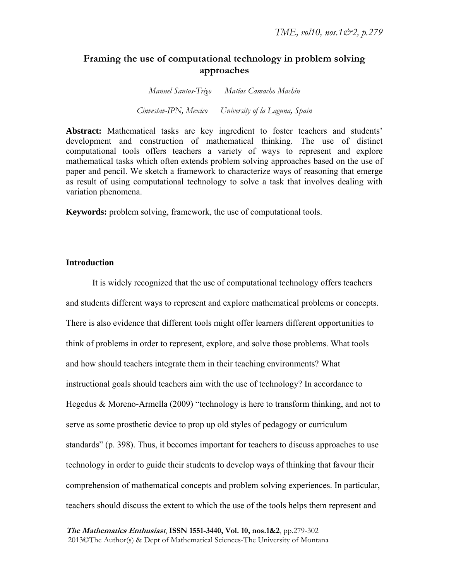## **Framing the use of computational technology in problem solving approaches**

*Manuel Santos-Trigo Matías Camacho Machín Cinvestav-IPN, Mexico University of la Laguna, Spain*

**Abstract:** Mathematical tasks are key ingredient to foster teachers and students' development and construction of mathematical thinking. The use of distinct computational tools offers teachers a variety of ways to represent and explore mathematical tasks which often extends problem solving approaches based on the use of paper and pencil. We sketch a framework to characterize ways of reasoning that emerge as result of using computational technology to solve a task that involves dealing with variation phenomena.

**Keywords:** problem solving, framework, the use of computational tools.

#### **Introduction**

It is widely recognized that the use of computational technology offers teachers and students different ways to represent and explore mathematical problems or concepts. There is also evidence that different tools might offer learners different opportunities to think of problems in order to represent, explore, and solve those problems. What tools and how should teachers integrate them in their teaching environments? What instructional goals should teachers aim with the use of technology? In accordance to Hegedus & Moreno-Armella (2009) "technology is here to transform thinking, and not to serve as some prosthetic device to prop up old styles of pedagogy or curriculum standards" (p. 398). Thus, it becomes important for teachers to discuss approaches to use technology in order to guide their students to develop ways of thinking that favour their comprehension of mathematical concepts and problem solving experiences. In particular, teachers should discuss the extent to which the use of the tools helps them represent and

**The Mathematics Enthusiast**, **ISSN 1551-3440, Vol. 10, nos.1&2**, pp.279-302 2013©The Author(s) & Dept of Mathematical Sciences-The University of Montana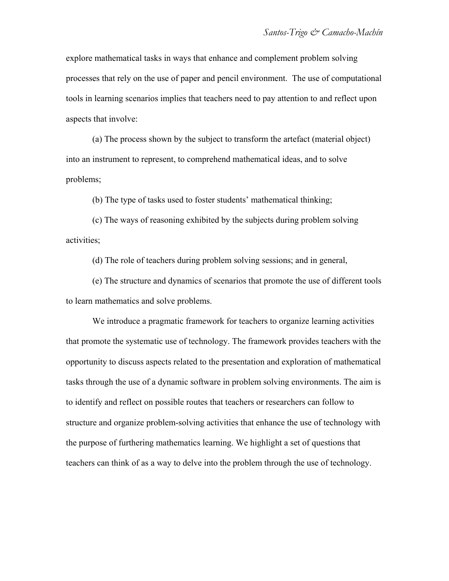explore mathematical tasks in ways that enhance and complement problem solving processes that rely on the use of paper and pencil environment. The use of computational tools in learning scenarios implies that teachers need to pay attention to and reflect upon aspects that involve:

(a) The process shown by the subject to transform the artefact (material object) into an instrument to represent, to comprehend mathematical ideas, and to solve problems;

(b) The type of tasks used to foster students' mathematical thinking;

(c) The ways of reasoning exhibited by the subjects during problem solving activities;

(d) The role of teachers during problem solving sessions; and in general,

(e) The structure and dynamics of scenarios that promote the use of different tools to learn mathematics and solve problems.

We introduce a pragmatic framework for teachers to organize learning activities that promote the systematic use of technology. The framework provides teachers with the opportunity to discuss aspects related to the presentation and exploration of mathematical tasks through the use of a dynamic software in problem solving environments. The aim is to identify and reflect on possible routes that teachers or researchers can follow to structure and organize problem-solving activities that enhance the use of technology with the purpose of furthering mathematics learning. We highlight a set of questions that teachers can think of as a way to delve into the problem through the use of technology.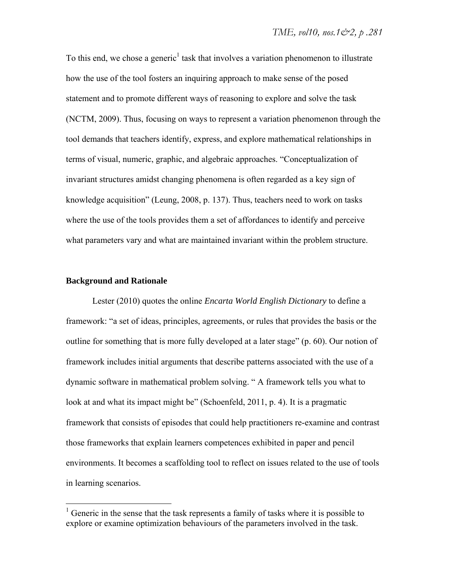To this end, we chose a generic<sup>1</sup> task that involves a variation phenomenon to illustrate how the use of the tool fosters an inquiring approach to make sense of the posed statement and to promote different ways of reasoning to explore and solve the task (NCTM, 2009). Thus, focusing on ways to represent a variation phenomenon through the tool demands that teachers identify, express, and explore mathematical relationships in terms of visual, numeric, graphic, and algebraic approaches. "Conceptualization of invariant structures amidst changing phenomena is often regarded as a key sign of knowledge acquisition" (Leung, 2008, p. 137). Thus, teachers need to work on tasks where the use of the tools provides them a set of affordances to identify and perceive what parameters vary and what are maintained invariant within the problem structure.

#### **Background and Rationale**

1

Lester (2010) quotes the online *Encarta World English Dictionary* to define a framework: "a set of ideas, principles, agreements, or rules that provides the basis or the outline for something that is more fully developed at a later stage" (p. 60). Our notion of framework includes initial arguments that describe patterns associated with the use of a dynamic software in mathematical problem solving. " A framework tells you what to look at and what its impact might be" (Schoenfeld, 2011, p. 4). It is a pragmatic framework that consists of episodes that could help practitioners re-examine and contrast those frameworks that explain learners competences exhibited in paper and pencil environments. It becomes a scaffolding tool to reflect on issues related to the use of tools in learning scenarios.

 $<sup>1</sup>$  Generic in the sense that the task represents a family of tasks where it is possible to</sup> explore or examine optimization behaviours of the parameters involved in the task.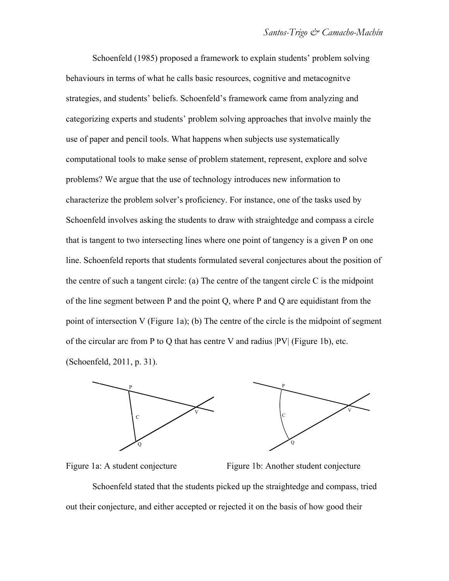Schoenfeld (1985) proposed a framework to explain students' problem solving behaviours in terms of what he calls basic resources, cognitive and metacognitve strategies, and students' beliefs. Schoenfeld's framework came from analyzing and categorizing experts and students' problem solving approaches that involve mainly the use of paper and pencil tools. What happens when subjects use systematically computational tools to make sense of problem statement, represent, explore and solve problems? We argue that the use of technology introduces new information to characterize the problem solver's proficiency. For instance, one of the tasks used by Schoenfeld involves asking the students to draw with straightedge and compass a circle that is tangent to two intersecting lines where one point of tangency is a given P on one line. Schoenfeld reports that students formulated several conjectures about the position of the centre of such a tangent circle: (a) The centre of the tangent circle  $C$  is the midpoint of the line segment between P and the point Q, where P and Q are equidistant from the point of intersection V (Figure 1a); (b) The centre of the circle is the midpoint of segment of the circular arc from P to Q that has centre V and radius |PV| (Figure 1b), etc. (Schoenfeld, 2011, p. 31).



Figure 1a: A student conjecture Figure 1b: Another student conjecture Schoenfeld stated that the students picked up the straightedge and compass, tried out their conjecture, and either accepted or rejected it on the basis of how good their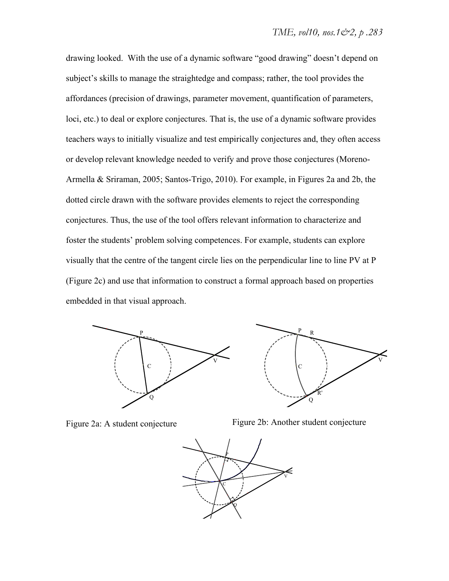drawing looked. With the use of a dynamic software "good drawing" doesn't depend on subject's skills to manage the straightedge and compass; rather, the tool provides the affordances (precision of drawings, parameter movement, quantification of parameters, loci, etc.) to deal or explore conjectures. That is, the use of a dynamic software provides teachers ways to initially visualize and test empirically conjectures and, they often access or develop relevant knowledge needed to verify and prove those conjectures (Moreno-Armella & Sriraman, 2005; Santos-Trigo, 2010). For example, in Figures 2a and 2b, the dotted circle drawn with the software provides elements to reject the corresponding conjectures. Thus, the use of the tool offers relevant information to characterize and foster the students' problem solving competences. For example, students can explore visually that the centre of the tangent circle lies on the perpendicular line to line PV at P (Figure 2c) and use that information to construct a formal approach based on properties embedded in that visual approach.





Figure 2a: A student conjecture Figure 2b: Another student conjecture

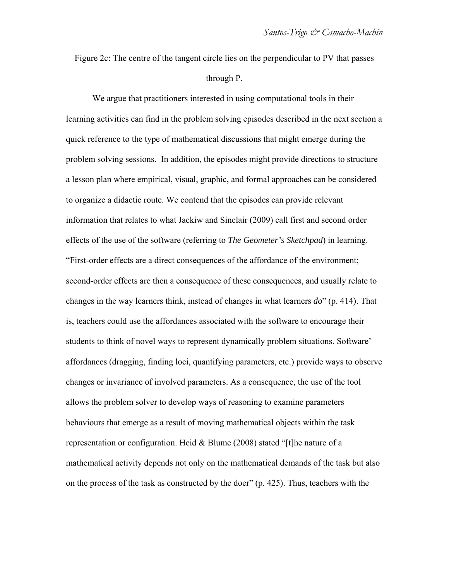Figure 2c: The centre of the tangent circle lies on the perpendicular to PV that passes through P.

We argue that practitioners interested in using computational tools in their learning activities can find in the problem solving episodes described in the next section a quick reference to the type of mathematical discussions that might emerge during the problem solving sessions. In addition, the episodes might provide directions to structure a lesson plan where empirical, visual, graphic, and formal approaches can be considered to organize a didactic route. We contend that the episodes can provide relevant information that relates to what Jackiw and Sinclair (2009) call first and second order effects of the use of the software (referring to *The Geometer's Sketchpad*) in learning. "First-order effects are a direct consequences of the affordance of the environment; second-order effects are then a consequence of these consequences, and usually relate to changes in the way learners think, instead of changes in what learners *do*" (p. 414). That is, teachers could use the affordances associated with the software to encourage their students to think of novel ways to represent dynamically problem situations. Software' affordances (dragging, finding loci, quantifying parameters, etc.) provide ways to observe changes or invariance of involved parameters. As a consequence, the use of the tool allows the problem solver to develop ways of reasoning to examine parameters behaviours that emerge as a result of moving mathematical objects within the task representation or configuration. Heid & Blume (2008) stated "[t]he nature of a mathematical activity depends not only on the mathematical demands of the task but also on the process of the task as constructed by the doer" (p. 425). Thus, teachers with the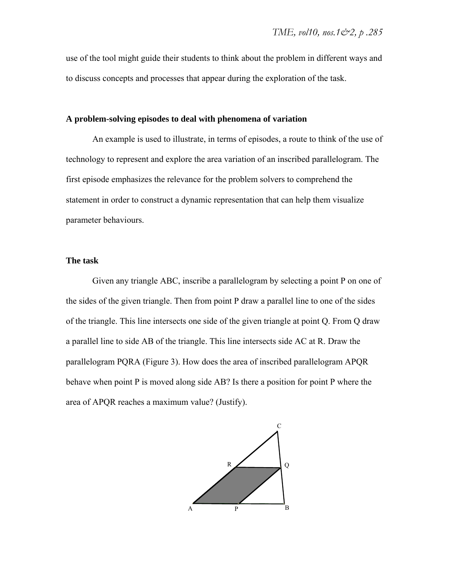use of the tool might guide their students to think about the problem in different ways and to discuss concepts and processes that appear during the exploration of the task.

#### **A problem-solving episodes to deal with phenomena of variation**

An example is used to illustrate, in terms of episodes, a route to think of the use of technology to represent and explore the area variation of an inscribed parallelogram. The first episode emphasizes the relevance for the problem solvers to comprehend the statement in order to construct a dynamic representation that can help them visualize parameter behaviours.

#### **The task**

Given any triangle ABC, inscribe a parallelogram by selecting a point P on one of the sides of the given triangle. Then from point P draw a parallel line to one of the sides of the triangle. This line intersects one side of the given triangle at point Q. From Q draw a parallel line to side AB of the triangle. This line intersects side AC at R. Draw the parallelogram PQRA (Figure 3). How does the area of inscribed parallelogram APQR behave when point P is moved along side AB? Is there a position for point P where the area of APQR reaches a maximum value? (Justify).

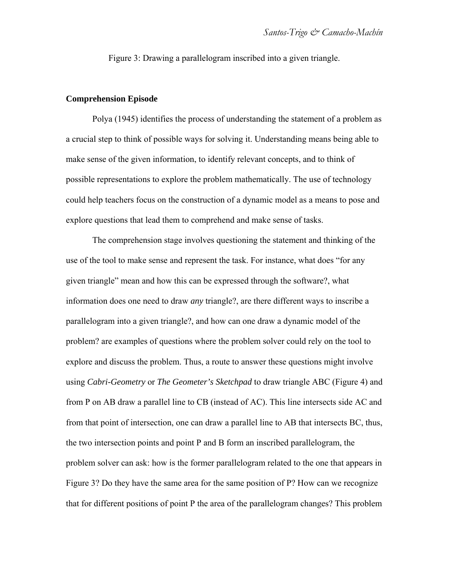Figure 3: Drawing a parallelogram inscribed into a given triangle.

#### **Comprehension Episode**

Polya (1945) identifies the process of understanding the statement of a problem as a crucial step to think of possible ways for solving it. Understanding means being able to make sense of the given information, to identify relevant concepts, and to think of possible representations to explore the problem mathematically. The use of technology could help teachers focus on the construction of a dynamic model as a means to pose and explore questions that lead them to comprehend and make sense of tasks.

The comprehension stage involves questioning the statement and thinking of the use of the tool to make sense and represent the task. For instance, what does "for any given triangle" mean and how this can be expressed through the software?, what information does one need to draw *any* triangle?, are there different ways to inscribe a parallelogram into a given triangle?, and how can one draw a dynamic model of the problem? are examples of questions where the problem solver could rely on the tool to explore and discuss the problem. Thus, a route to answer these questions might involve using *Cabri-Geometry* or *The Geometer's Sketchpad* to draw triangle ABC (Figure 4) and from P on AB draw a parallel line to CB (instead of AC). This line intersects side AC and from that point of intersection, one can draw a parallel line to AB that intersects BC, thus, the two intersection points and point P and B form an inscribed parallelogram, the problem solver can ask: how is the former parallelogram related to the one that appears in Figure 3? Do they have the same area for the same position of P? How can we recognize that for different positions of point P the area of the parallelogram changes? This problem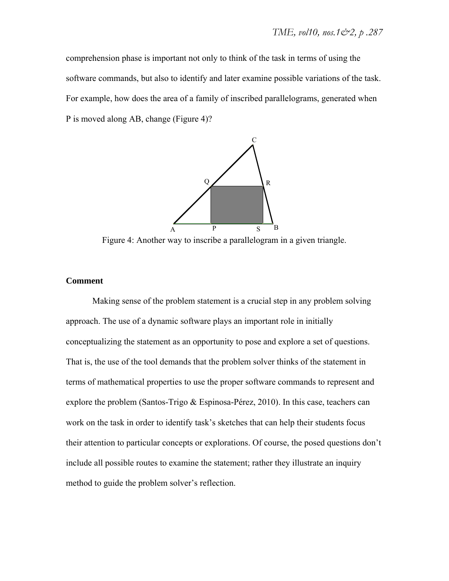comprehension phase is important not only to think of the task in terms of using the software commands, but also to identify and later examine possible variations of the task. For example, how does the area of a family of inscribed parallelograms, generated when P is moved along AB, change (Figure 4)?



Figure 4: Another way to inscribe a parallelogram in a given triangle.

#### **Comment**

Making sense of the problem statement is a crucial step in any problem solving approach. The use of a dynamic software plays an important role in initially conceptualizing the statement as an opportunity to pose and explore a set of questions. That is, the use of the tool demands that the problem solver thinks of the statement in terms of mathematical properties to use the proper software commands to represent and explore the problem (Santos-Trigo & Espinosa-Pérez, 2010). In this case, teachers can work on the task in order to identify task's sketches that can help their students focus their attention to particular concepts or explorations. Of course, the posed questions don't include all possible routes to examine the statement; rather they illustrate an inquiry method to guide the problem solver's reflection.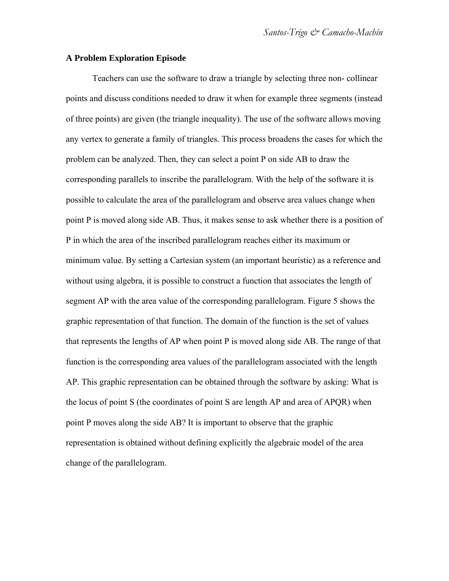#### **A Problem Exploration Episode**

Teachers can use the software to draw a triangle by selecting three non- collinear points and discuss conditions needed to draw it when for example three segments (instead of three points) are given (the triangle inequality). The use of the software allows moving any vertex to generate a family of triangles. This process broadens the cases for which the problem can be analyzed. Then, they can select a point P on side AB to draw the corresponding parallels to inscribe the parallelogram. With the help of the software it is possible to calculate the area of the parallelogram and observe area values change when point P is moved along side AB. Thus, it makes sense to ask whether there is a position of P in which the area of the inscribed parallelogram reaches either its maximum or minimum value. By setting a Cartesian system (an important heuristic) as a reference and without using algebra, it is possible to construct a function that associates the length of segment AP with the area value of the corresponding parallelogram. Figure 5 shows the graphic representation of that function. The domain of the function is the set of values that represents the lengths of AP when point P is moved along side AB. The range of that function is the corresponding area values of the parallelogram associated with the length AP. This graphic representation can be obtained through the software by asking: What is the locus of point S (the coordinates of point S are length AP and area of APQR) when point P moves along the side AB? It is important to observe that the graphic representation is obtained without defining explicitly the algebraic model of the area change of the parallelogram.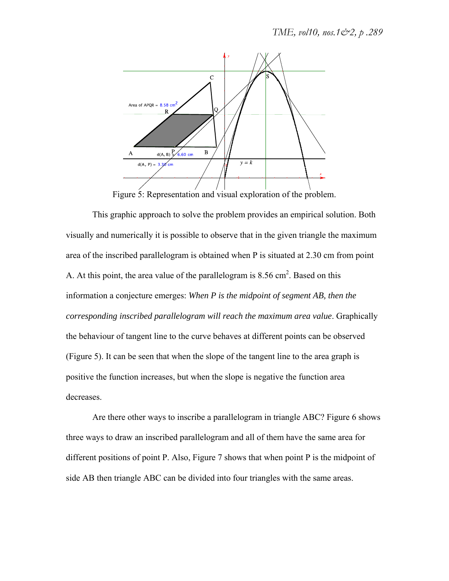

Figure 5: Representation and visual exploration of the problem.

This graphic approach to solve the problem provides an empirical solution. Both visually and numerically it is possible to observe that in the given triangle the maximum area of the inscribed parallelogram is obtained when P is situated at 2.30 cm from point A. At this point, the area value of the parallelogram is  $8.56 \text{ cm}^2$ . Based on this information a conjecture emerges: *When P is the midpoint of segment AB, then the corresponding inscribed parallelogram will reach the maximum area value*. Graphically the behaviour of tangent line to the curve behaves at different points can be observed (Figure 5). It can be seen that when the slope of the tangent line to the area graph is positive the function increases, but when the slope is negative the function area decreases.

Are there other ways to inscribe a parallelogram in triangle ABC? Figure 6 shows three ways to draw an inscribed parallelogram and all of them have the same area for different positions of point P. Also, Figure 7 shows that when point P is the midpoint of side AB then triangle ABC can be divided into four triangles with the same areas.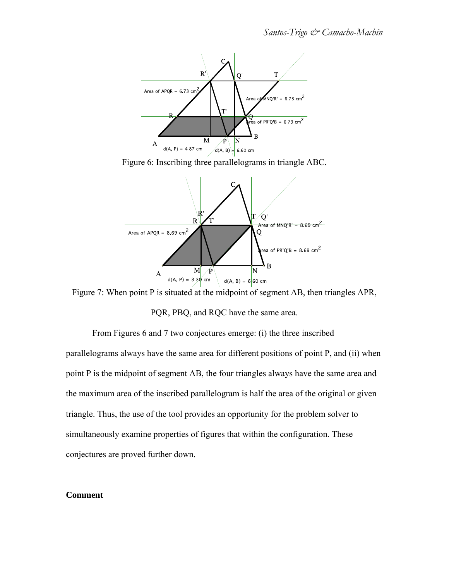

Figure 6: Inscribing three parallelograms in triangle ABC.



Figure 7: When point P is situated at the midpoint of segment AB, then triangles APR,

PQR, PBQ, and RQC have the same area.

From Figures 6 and 7 two conjectures emerge: (i) the three inscribed

parallelograms always have the same area for different positions of point P, and (ii) when point P is the midpoint of segment AB, the four triangles always have the same area and the maximum area of the inscribed parallelogram is half the area of the original or given triangle. Thus, the use of the tool provides an opportunity for the problem solver to simultaneously examine properties of figures that within the configuration. These conjectures are proved further down.

#### **Comment**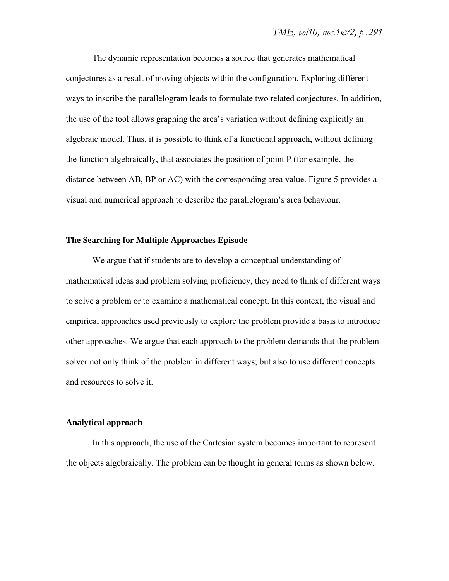The dynamic representation becomes a source that generates mathematical conjectures as a result of moving objects within the configuration. Exploring different ways to inscribe the parallelogram leads to formulate two related conjectures. In addition, the use of the tool allows graphing the area's variation without defining explicitly an algebraic model. Thus, it is possible to think of a functional approach, without defining the function algebraically, that associates the position of point P (for example, the distance between AB, BP or AC) with the corresponding area value. Figure 5 provides a visual and numerical approach to describe the parallelogram's area behaviour.

#### **The Searching for Multiple Approaches Episode**

We argue that if students are to develop a conceptual understanding of mathematical ideas and problem solving proficiency, they need to think of different ways to solve a problem or to examine a mathematical concept. In this context, the visual and empirical approaches used previously to explore the problem provide a basis to introduce other approaches. We argue that each approach to the problem demands that the problem solver not only think of the problem in different ways; but also to use different concepts and resources to solve it.

#### **Analytical approach**

In this approach, the use of the Cartesian system becomes important to represent the objects algebraically. The problem can be thought in general terms as shown below.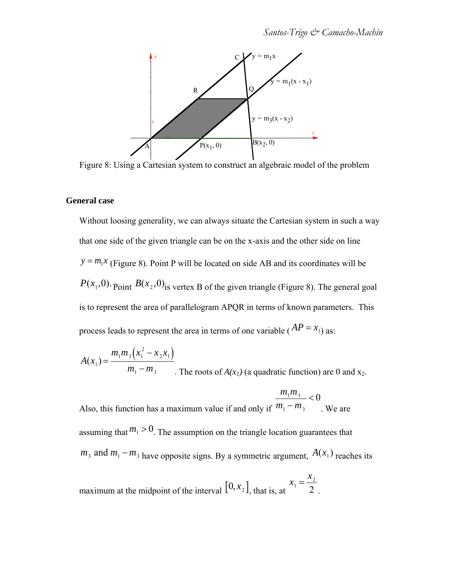

Figure 8: Using a Cartesian system to construct an algebraic model of the problem

#### **General case**

Without loosing generality, we can always situate the Cartesian system in such a way that one side of the given triangle can be on the x-axis and the other side on line  $y = m_1 x$  (Figure 8). Point P will be located on side AB and its coordinates will be  $P(x_1, 0)$ . Point  $B(x_2, 0)$  is vertex B of the given triangle (Figure 8). The general goal is to represent the area of parallelogram APQR in terms of known parameters. This process leads to represent the area in terms of one variable ( $AP = x_1$ ) as:

$$
A(x_1) = \frac{m_1 m_3 (x_1^2 - x_2 x_1)}{m_1 - m_3}
$$
. The roots of  $A(x_1)$  (a quadratic function) are 0 and x<sub>2</sub>.

Also, this function has a maximum value if and only if  $m_1 m_3$  $m_1 - m_3$  $< 0$ . We are assuming that  $m_1 > 0$ . The assumption on the triangle location guarantees that  $m_3$  and  $m_1 - m_3$  have opposite signs. By a symmetric argument,  $A(x_1)$  reaches its

maximum at the midpoint of the interval  $[0, x<sub>2</sub>]$ , that is, at  $x_1 = \frac{x_2}{2}$ 2 .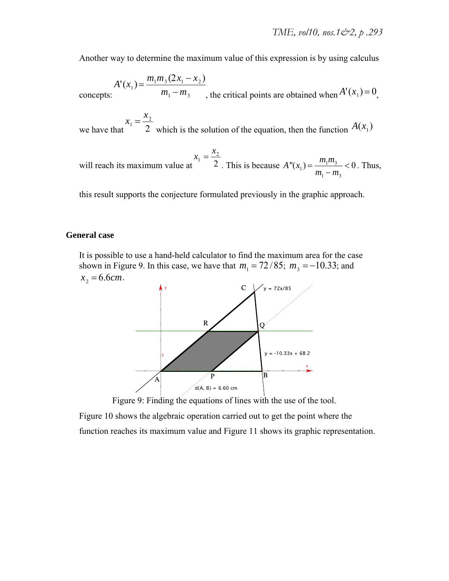Another way to determine the maximum value of this expression is by using calculus

concepts:  $A'(x_1) = \frac{m_1 m_3 (2x_1 - x_2)}{m_1 m_3}$  $m_1 - m_3$ , the critical points are obtained when  $A'(x_1) = 0$ ,

we have that  $x_1 = \frac{x_2}{2}$  $\overline{2}$  which is the solution of the equation, then the function  $A(x_1)$ 

will reach its maximum value at 
$$
x_1 = \frac{x_2}{2}
$$
. This is because  $A''(x_1) = \frac{m_1 m_3}{m_1 - m_3} < 0$ . Thus,

this result supports the conjecture formulated previously in the graphic approach.

#### **General case**

It is possible to use a hand-held calculator to find the maximum area for the case shown in Figure 9. In this case, we have that  $m_1 = 72 / 85$ ;  $m_3 = -10.33$ ; and  $x_2 = 6.6$ *cm*.



Figure 9: Finding the equations of lines with the use of the tool.

Figure 10 shows the algebraic operation carried out to get the point where the function reaches its maximum value and Figure 11 shows its graphic representation.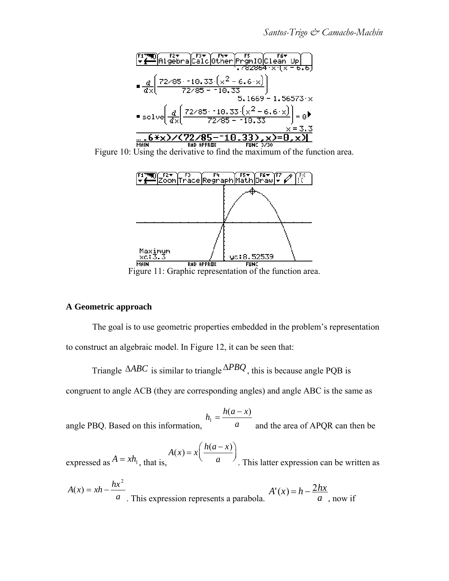



Figure 11: Graphic representation of the function area.

### **A Geometric approach**

The goal is to use geometric properties embedded in the problem's representation to construct an algebraic model. In Figure 12, it can be seen that:

Triangle  $\triangle ABC$  is similar to triangle  $\triangle PBO$ , this is because angle PQB is

congruent to angle ACB (they are corresponding angles) and angle ABC is the same as

angle PBQ. Based on this information, 
$$
h_1 = \frac{h(a - x)}{a}
$$
 and the area of APQR can then be

expressed as 
$$
A = xh_1
$$
, that is,  $A(x) = x \left( \frac{h(a-x)}{a} \right)$ . This latter expression can be written as

$$
A(x) = xh - \frac{hx^2}{a}
$$
. This expression represents a parabola.  $A'(x) = h - \frac{2hx}{a}$ , now if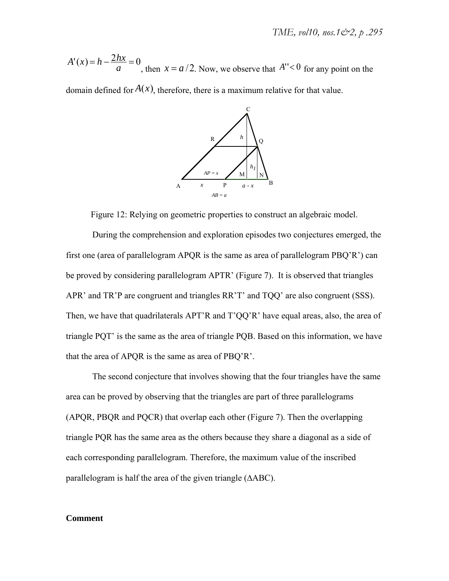$A'(x) = h - \frac{2hx}{a} = 0$ , then  $x = a/2$ . Now, we observe that  $A'' < 0$  for any point on the

domain defined for  $A(x)$ , therefore, there is a maximum relative for that value.



Figure 12: Relying on geometric properties to construct an algebraic model.

During the comprehension and exploration episodes two conjectures emerged, the first one (area of parallelogram APOR is the same as area of parallelogram  $PBO'R'$ ) can be proved by considering parallelogram APTR' (Figure 7). It is observed that triangles APR' and TR'P are congruent and triangles RR'T' and TQQ' are also congruent (SSS). Then, we have that quadrilaterals APT'R and T'QQ'R' have equal areas, also, the area of triangle PQT' is the same as the area of triangle PQB. Based on this information, we have that the area of APQR is the same as area of PBQ'R'.

The second conjecture that involves showing that the four triangles have the same area can be proved by observing that the triangles are part of three parallelograms (APQR, PBQR and PQCR) that overlap each other (Figure 7). Then the overlapping triangle PQR has the same area as the others because they share a diagonal as a side of each corresponding parallelogram. Therefore, the maximum value of the inscribed parallelogram is half the area of the given triangle (∆ABC).

#### **Comment**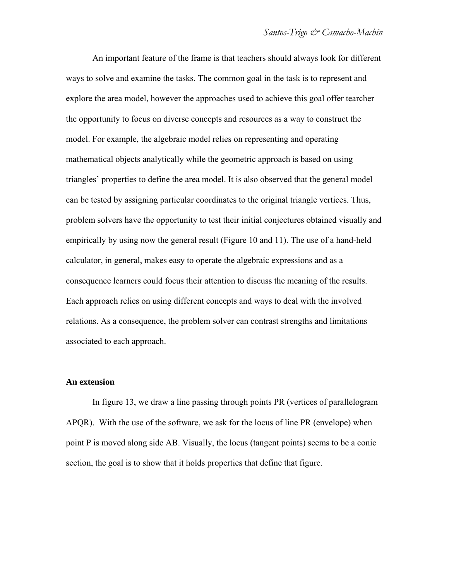An important feature of the frame is that teachers should always look for different ways to solve and examine the tasks. The common goal in the task is to represent and explore the area model, however the approaches used to achieve this goal offer tearcher the opportunity to focus on diverse concepts and resources as a way to construct the model. For example, the algebraic model relies on representing and operating mathematical objects analytically while the geometric approach is based on using triangles' properties to define the area model. It is also observed that the general model can be tested by assigning particular coordinates to the original triangle vertices. Thus, problem solvers have the opportunity to test their initial conjectures obtained visually and empirically by using now the general result (Figure 10 and 11). The use of a hand-held calculator, in general, makes easy to operate the algebraic expressions and as a consequence learners could focus their attention to discuss the meaning of the results. Each approach relies on using different concepts and ways to deal with the involved relations. As a consequence, the problem solver can contrast strengths and limitations associated to each approach.

#### **An extension**

In figure 13, we draw a line passing through points PR (vertices of parallelogram APQR). With the use of the software, we ask for the locus of line PR (envelope) when point P is moved along side AB. Visually, the locus (tangent points) seems to be a conic section, the goal is to show that it holds properties that define that figure.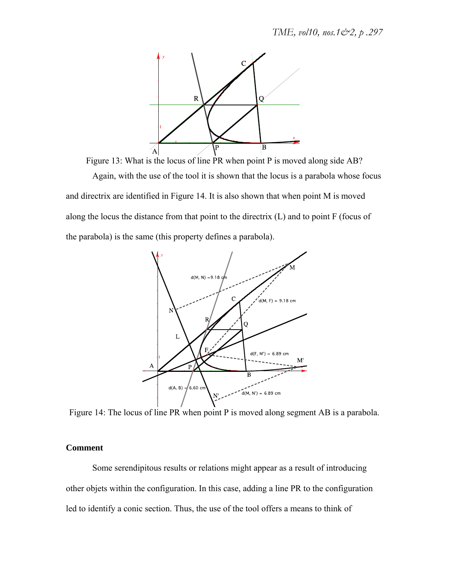

Figure 13: What is the locus of line PR when point P is moved along side AB? Again, with the use of the tool it is shown that the locus is a parabola whose focus and directrix are identified in Figure 14. It is also shown that when point M is moved along the locus the distance from that point to the directrix (L) and to point F (focus of the parabola) is the same (this property defines a parabola).



Figure 14: The locus of line PR when point P is moved along segment AB is a parabola.

#### **Comment**

Some serendipitous results or relations might appear as a result of introducing other objets within the configuration. In this case, adding a line PR to the configuration led to identify a conic section. Thus, the use of the tool offers a means to think of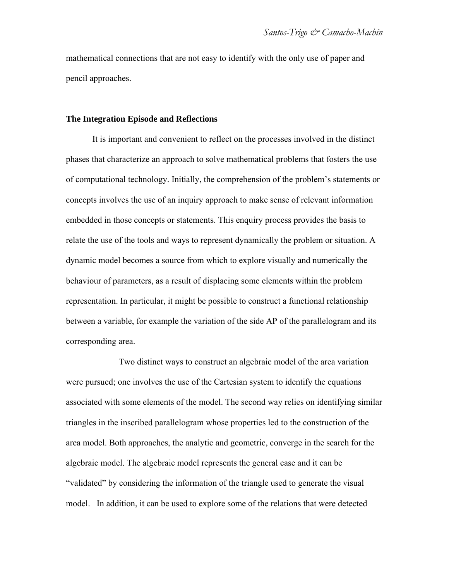mathematical connections that are not easy to identify with the only use of paper and pencil approaches.

#### **The Integration Episode and Reflections**

It is important and convenient to reflect on the processes involved in the distinct phases that characterize an approach to solve mathematical problems that fosters the use of computational technology. Initially, the comprehension of the problem's statements or concepts involves the use of an inquiry approach to make sense of relevant information embedded in those concepts or statements. This enquiry process provides the basis to relate the use of the tools and ways to represent dynamically the problem or situation. A dynamic model becomes a source from which to explore visually and numerically the behaviour of parameters, as a result of displacing some elements within the problem representation. In particular, it might be possible to construct a functional relationship between a variable, for example the variation of the side AP of the parallelogram and its corresponding area.

 Two distinct ways to construct an algebraic model of the area variation were pursued; one involves the use of the Cartesian system to identify the equations associated with some elements of the model. The second way relies on identifying similar triangles in the inscribed parallelogram whose properties led to the construction of the area model. Both approaches, the analytic and geometric, converge in the search for the algebraic model. The algebraic model represents the general case and it can be "validated" by considering the information of the triangle used to generate the visual model. In addition, it can be used to explore some of the relations that were detected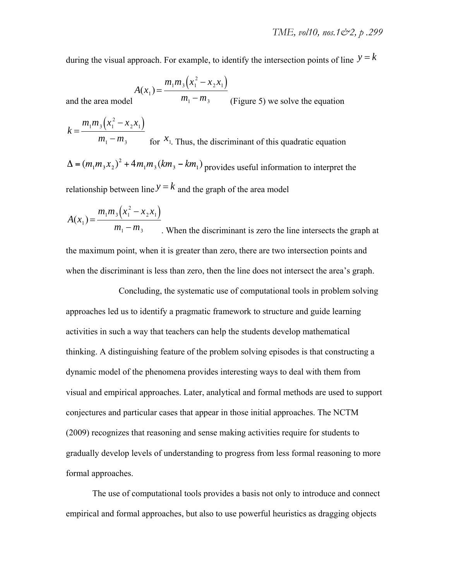during the visual approach. For example, to identify the intersection points of line  $y = k$ 

$$
A(x_1) = \frac{m_1 m_3 (x_1^2 - x_2 x_1)}{m_1}
$$

and the area model  $m_1 - m_3$  (Figure 5) we solve the equation

$$
k = \frac{m_1 m_3 (x_1^2 - x_2 x_1)}{m_1 - m_3}
$$
 for  $x_1$ . Thus, the discriminant of this quadratic equation  
\n
$$
\Delta = (m_1 m_3 x_2)^2 + 4m_1 m_3 (km_3 - km_1)
$$
 provides useful information to interpret the relationship between line  $y = k$  and the graph of the area model

$$
A(x_1) = \frac{m_1 m_3 (x_1^2 - x_2 x_1)}{m_1 - m_3}
$$
 When the discriminant is zero the line intersects the graph at  
the maximum point, when it is greater than zero, there are two intersection points and  
when the discriminant is less than zero, then the line does not intersect the area's graph.

 Concluding, the systematic use of computational tools in problem solving approaches led us to identify a pragmatic framework to structure and guide learning activities in such a way that teachers can help the students develop mathematical thinking. A distinguishing feature of the problem solving episodes is that constructing a dynamic model of the phenomena provides interesting ways to deal with them from visual and empirical approaches. Later, analytical and formal methods are used to support conjectures and particular cases that appear in those initial approaches. The NCTM (2009) recognizes that reasoning and sense making activities require for students to gradually develop levels of understanding to progress from less formal reasoning to more formal approaches.

The use of computational tools provides a basis not only to introduce and connect empirical and formal approaches, but also to use powerful heuristics as dragging objects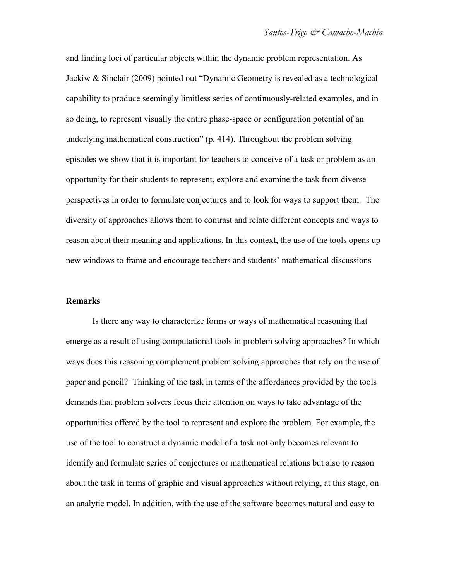and finding loci of particular objects within the dynamic problem representation. As Jackiw & Sinclair (2009) pointed out "Dynamic Geometry is revealed as a technological capability to produce seemingly limitless series of continuously-related examples, and in so doing, to represent visually the entire phase-space or configuration potential of an underlying mathematical construction" (p. 414). Throughout the problem solving episodes we show that it is important for teachers to conceive of a task or problem as an opportunity for their students to represent, explore and examine the task from diverse perspectives in order to formulate conjectures and to look for ways to support them. The diversity of approaches allows them to contrast and relate different concepts and ways to reason about their meaning and applications. In this context, the use of the tools opens up new windows to frame and encourage teachers and students' mathematical discussions

#### **Remarks**

Is there any way to characterize forms or ways of mathematical reasoning that emerge as a result of using computational tools in problem solving approaches? In which ways does this reasoning complement problem solving approaches that rely on the use of paper and pencil? Thinking of the task in terms of the affordances provided by the tools demands that problem solvers focus their attention on ways to take advantage of the opportunities offered by the tool to represent and explore the problem. For example, the use of the tool to construct a dynamic model of a task not only becomes relevant to identify and formulate series of conjectures or mathematical relations but also to reason about the task in terms of graphic and visual approaches without relying, at this stage, on an analytic model. In addition, with the use of the software becomes natural and easy to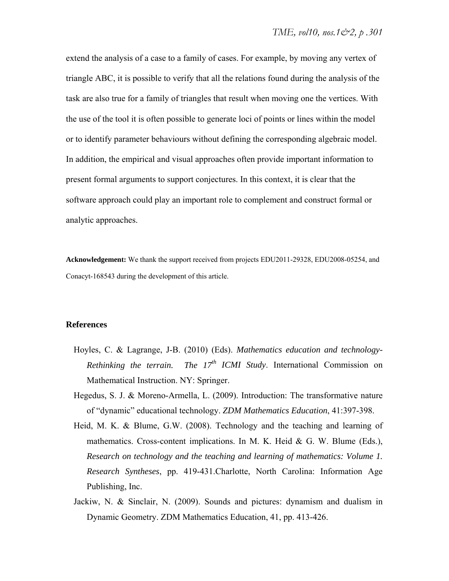extend the analysis of a case to a family of cases. For example, by moving any vertex of triangle ABC, it is possible to verify that all the relations found during the analysis of the task are also true for a family of triangles that result when moving one the vertices. With the use of the tool it is often possible to generate loci of points or lines within the model or to identify parameter behaviours without defining the corresponding algebraic model. In addition, the empirical and visual approaches often provide important information to present formal arguments to support conjectures. In this context, it is clear that the software approach could play an important role to complement and construct formal or analytic approaches.

**Acknowledgement:** We thank the support received from projects EDU2011-29328, EDU2008-05254, and Conacyt-168543 during the development of this article.

#### **References**

- Hoyles, C. & Lagrange, J-B. (2010) (Eds). *Mathematics education and technology-Rethinking the terrain. The 17<sup>th</sup> ICMI Study*. International Commission on Mathematical Instruction. NY: Springer.
- Hegedus, S. J. & Moreno-Armella, L. (2009). Introduction: The transformative nature of "dynamic" educational technology. *ZDM Mathematics Education*, 41:397-398.
- Heid, M. K. & Blume, G.W. (2008). Technology and the teaching and learning of mathematics. Cross-content implications. In M. K. Heid & G. W. Blume (Eds.), *Research on technology and the teaching and learning of mathematics: Volume 1. Research Syntheses*, pp. 419-431.Charlotte, North Carolina: Information Age Publishing, Inc.
- Jackiw, N. & Sinclair, N. (2009). Sounds and pictures: dynamism and dualism in Dynamic Geometry. ZDM Mathematics Education, 41, pp. 413-426.